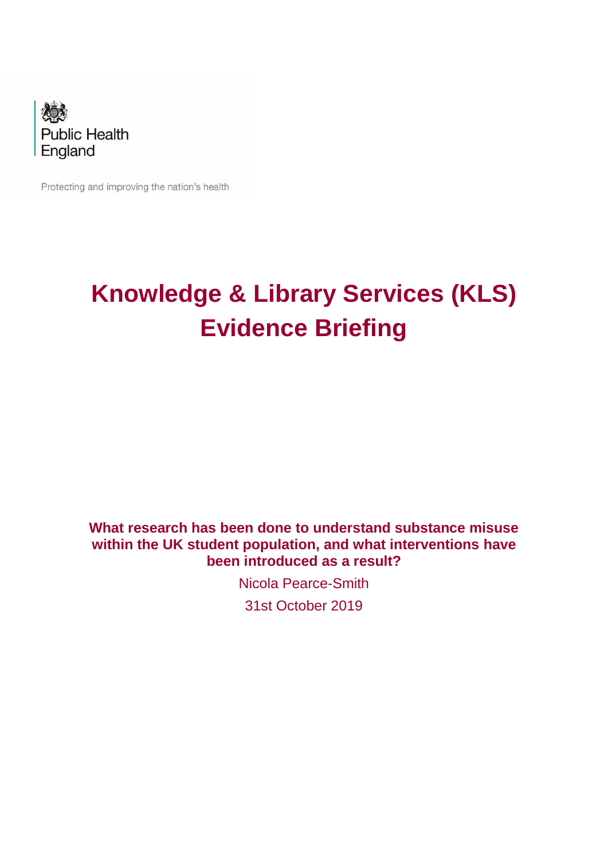

Protecting and improving the nation's health

# **Knowledge & Library Services (KLS) Evidence Briefing**

# **What research has been done to understand substance misuse within the UK student population, and what interventions have been introduced as a result?**

Nicola Pearce-Smith

31st October 2019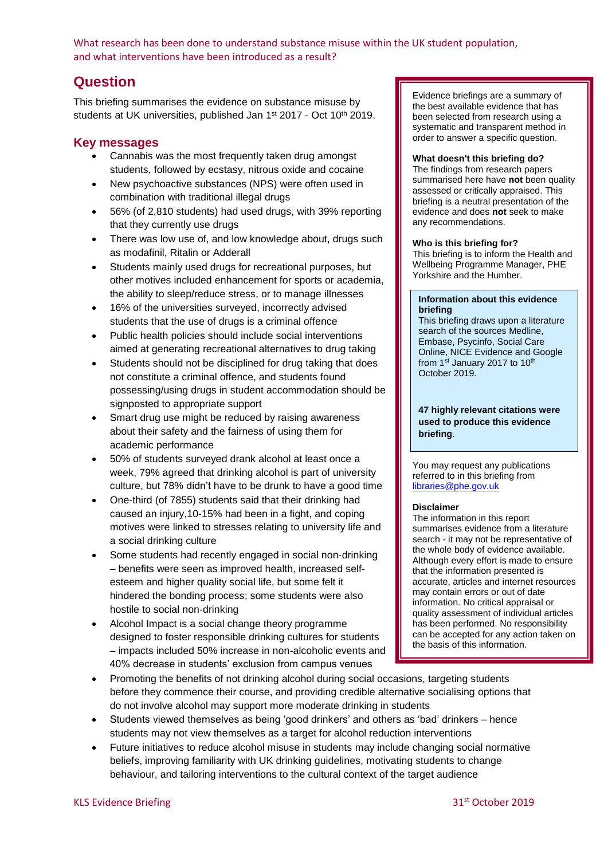# **Question**

This briefing summarises the evidence on substance misuse by students at UK universities, published Jan 1<sup>st</sup> 2017 - Oct 10<sup>th</sup> 2019.

#### **Key messages**

- Cannabis was the most frequently taken drug amongst students, followed by ecstasy, nitrous oxide and cocaine
- New psychoactive substances (NPS) were often used in combination with traditional illegal drugs
- 56% (of 2,810 students) had used drugs, with 39% reporting that they currently use drugs
- There was low use of, and low knowledge about, drugs such as modafinil, Ritalin or Adderall
- Students mainly used drugs for recreational purposes, but other motives included enhancement for sports or academia, the ability to sleep/reduce stress, or to manage illnesses
- 16% of the universities surveyed, incorrectly advised students that the use of drugs is a criminal offence
- Public health policies should include social interventions aimed at generating recreational alternatives to drug taking
- Students should not be disciplined for drug taking that does not constitute a criminal offence, and students found possessing/using drugs in student accommodation should be signposted to appropriate support
- Smart drug use might be reduced by raising awareness about their safety and the fairness of using them for academic performance
- 50% of students surveyed drank alcohol at least once a week, 79% agreed that drinking alcohol is part of university culture, but 78% didn't have to be drunk to have a good time
- One-third (of 7855) students said that their drinking had caused an injury,10-15% had been in a fight, and coping motives were linked to stresses relating to university life and a social drinking culture
- Some students had recently engaged in social non-drinking – benefits were seen as improved health, increased self‐ esteem and higher quality social life, but some felt it hindered the bonding process; some students were also hostile to social non‐drinking
- Alcohol Impact is a social change theory programme designed to foster responsible drinking cultures for students – impacts included 50% increase in non-alcoholic events and 40% decrease in students' exclusion from campus venues

do not involve alcohol may support more moderate drinking in students

• Promoting the benefits of not drinking alcohol during social occasions, targeting students before they commence their course, and providing credible alternative socialising options that

• Students viewed themselves as being 'good drinkers' and others as 'bad' drinkers – hence

• Future initiatives to reduce alcohol misuse in students may include changing social normative beliefs, improving familiarity with UK drinking guidelines, motivating students to change behaviour, and tailoring interventions to the cultural context of the target audience

students may not view themselves as a target for alcohol reduction interventions

Evidence briefings are a summary of the best available evidence that has been selected from research using a systematic and transparent method in order to answer a specific question.

#### **What doesn't this briefing do?**

The findings from research papers summarised here have **not** been quality assessed or critically appraised. This briefing is a neutral presentation of the evidence and does **not** seek to make any recommendations.

#### **Who is this briefing for?**

This briefing is to inform the Health and Wellbeing Programme Manager, PHE Yorkshire and the Humber.

#### **Information about this evidence briefing**

This briefing draws upon a literature search of the sources Medline, Embase, Psycinfo, Social Care Online, NICE Evidence and Google from 1st January 2017 to 10<sup>th</sup> October 2019.

#### **47 highly relevant citations were used to produce this evidence briefing**.

You may request any publications referred to in this briefing from [libraries@phe.gov.uk](mailto:libraries@phe.gov.uk)

#### **Disclaimer**

The information in this report summarises evidence from a literature search - it may not be representative of the whole body of evidence available. Although every effort is made to ensure that the information presented is accurate, articles and internet resources may contain errors or out of date information. No critical appraisal or quality assessment of individual articles has been performed. No responsibility can be accepted for any action taken on the basis of this information.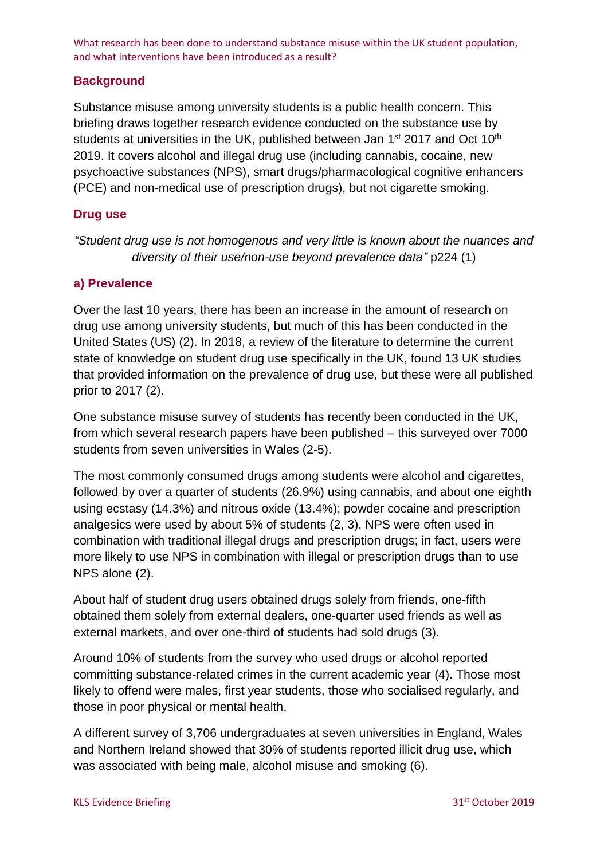### **Background**

Substance misuse among university students is a public health concern. This briefing draws together research evidence conducted on the substance use by students at universities in the UK, published between Jan 1<sup>st</sup> 2017 and Oct 10<sup>th</sup> 2019. It covers alcohol and illegal drug use (including cannabis, cocaine, new psychoactive substances (NPS), smart drugs/pharmacological cognitive enhancers (PCE) and non-medical use of prescription drugs), but not cigarette smoking.

#### **Drug use**

*"Student drug use is not homogenous and very little is known about the nuances and diversity of their use/non-use beyond prevalence data"* p224 [\(1\)](#page-12-0)

#### **a) Prevalence**

Over the last 10 years, there has been an increase in the amount of research on drug use among university students, but much of this has been conducted in the United States (US) [\(2\)](#page-12-1). In 2018, a review of the literature to determine the current state of knowledge on student drug use specifically in the UK, found 13 UK studies that provided information on the prevalence of drug use, but these were all published prior to 2017 [\(2\)](#page-12-1).

One substance misuse survey of students has recently been conducted in the UK, from which several research papers have been published – this surveyed over 7000 students from seven universities in Wales [\(2-5\)](#page-12-1).

The most commonly consumed drugs among students were alcohol and cigarettes, followed by over a quarter of students (26.9%) using cannabis, and about one eighth using ecstasy (14.3%) and nitrous oxide (13.4%); powder cocaine and prescription analgesics were used by about 5% of students [\(2,](#page-12-1) [3\)](#page-12-2). NPS were often used in combination with traditional illegal drugs and prescription drugs; in fact, users were more likely to use NPS in combination with illegal or prescription drugs than to use NPS alone [\(2\)](#page-12-1).

About half of student drug users obtained drugs solely from friends, one-fifth obtained them solely from external dealers, one-quarter used friends as well as external markets, and over one-third of students had sold drugs [\(3\)](#page-12-2).

Around 10% of students from the survey who used drugs or alcohol reported committing substance-related crimes in the current academic year [\(4\)](#page-12-3). Those most likely to offend were males, first year students, those who socialised regularly, and those in poor physical or mental health.

A different survey of 3,706 undergraduates at seven universities in England, Wales and Northern Ireland showed that 30% of students reported illicit drug use, which was associated with being male, alcohol misuse and smoking [\(6\)](#page-12-4).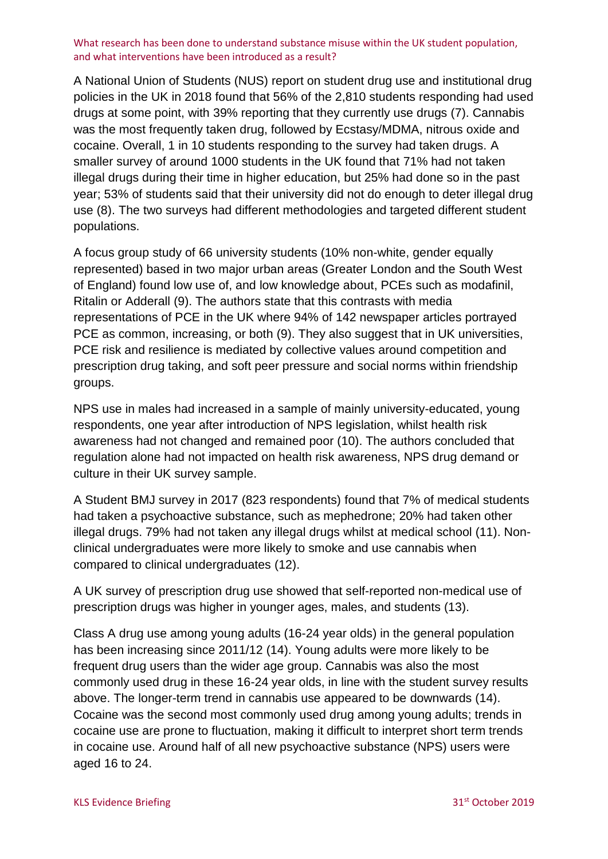A National Union of Students (NUS) report on student drug use and institutional drug policies in the UK in 2018 found that 56% of the 2,810 students responding had used drugs at some point, with 39% reporting that they currently use drugs [\(7\)](#page-12-5). Cannabis was the most frequently taken drug, followed by Ecstasy/MDMA, nitrous oxide and cocaine. Overall, 1 in 10 students responding to the survey had taken drugs. A smaller survey of around 1000 students in the UK found that 71% had not taken illegal drugs during their time in higher education, but 25% had done so in the past year; 53% of students said that their university did not do enough to deter illegal drug use [\(8\)](#page-12-6). The two surveys had different methodologies and targeted different student populations.

A focus group study of 66 university students (10% non-white, gender equally represented) based in two major urban areas (Greater London and the South West of England) found low use of, and low knowledge about, PCEs such as modafinil, Ritalin or Adderall [\(9\)](#page-12-7). The authors state that this contrasts with media representations of PCE in the UK where 94% of 142 newspaper articles portrayed PCE as common, increasing, or both [\(9\)](#page-12-7). They also suggest that in UK universities, PCE risk and resilience is mediated by collective values around competition and prescription drug taking, and soft peer pressure and social norms within friendship groups.

NPS use in males had increased in a sample of mainly university-educated, young respondents, one year after introduction of NPS legislation, whilst health risk awareness had not changed and remained poor [\(10\)](#page-12-8). The authors concluded that regulation alone had not impacted on health risk awareness, NPS drug demand or culture in their UK survey sample.

A Student BMJ survey in 2017 (823 respondents) found that 7% of medical students had taken a psychoactive substance, such as mephedrone; 20% had taken other illegal drugs. 79% had not taken any illegal drugs whilst at medical school [\(11\)](#page-12-9). Nonclinical undergraduates were more likely to smoke and use cannabis when compared to clinical undergraduates [\(12\)](#page-12-10).

A UK survey of prescription drug use showed that self-reported non-medical use of prescription drugs was higher in younger ages, males, and students [\(13\)](#page-12-11).

Class A drug use among young adults (16-24 year olds) in the general population has been increasing since 2011/12 [\(14\)](#page-12-12). Young adults were more likely to be frequent drug users than the wider age group. Cannabis was also the most commonly used drug in these 16-24 year olds, in line with the student survey results above. The longer-term trend in cannabis use appeared to be downwards [\(14\)](#page-12-12). Cocaine was the second most commonly used drug among young adults; trends in cocaine use are prone to fluctuation, making it difficult to interpret short term trends in cocaine use. Around half of all new psychoactive substance (NPS) users were aged 16 to 24.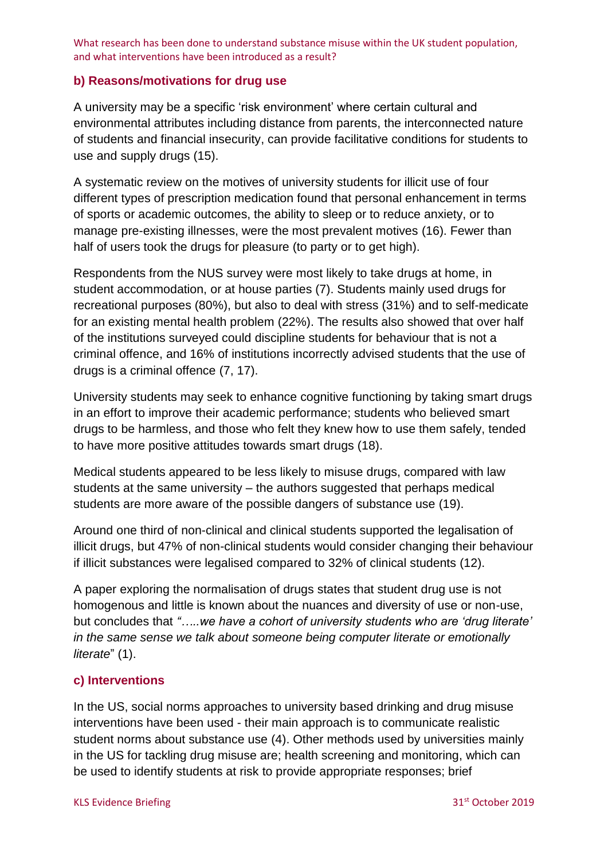#### **b) Reasons/motivations for drug use**

A university may be a specific 'risk environment' where certain cultural and environmental attributes including distance from parents, the interconnected nature of students and financial insecurity, can provide facilitative conditions for students to use and supply drugs [\(15\)](#page-13-0).

A systematic review on the motives of university students for illicit use of four different types of prescription medication found that personal enhancement in terms of sports or academic outcomes, the ability to sleep or to reduce anxiety, or to manage pre-existing illnesses, were the most prevalent motives [\(16\)](#page-13-1). Fewer than half of users took the drugs for pleasure (to party or to get high).

Respondents from the NUS survey were most likely to take drugs at home, in student accommodation, or at house parties [\(7\)](#page-12-5). Students mainly used drugs for recreational purposes (80%), but also to deal with stress (31%) and to self-medicate for an existing mental health problem (22%). The results also showed that over half of the institutions surveyed could discipline students for behaviour that is not a criminal offence, and 16% of institutions incorrectly advised students that the use of drugs is a criminal offence [\(7,](#page-12-5) [17\)](#page-13-2).

University students may seek to enhance cognitive functioning by taking smart drugs in an effort to improve their academic performance; students who believed smart drugs to be harmless, and those who felt they knew how to use them safely, tended to have more positive attitudes towards smart drugs [\(18\)](#page-13-3).

Medical students appeared to be less likely to misuse drugs, compared with law students at the same university – the authors suggested that perhaps medical students are more aware of the possible dangers of substance use [\(19\)](#page-13-4).

Around one third of non-clinical and clinical students supported the legalisation of illicit drugs, but 47% of non-clinical students would consider changing their behaviour if illicit substances were legalised compared to 32% of clinical students [\(12\)](#page-12-10).

A paper exploring the normalisation of drugs states that student drug use is not homogenous and little is known about the nuances and diversity of use or non-use, but concludes that *"…..we have a cohort of university students who are 'drug literate' in the same sense we talk about someone being computer literate or emotionally literate*" [\(1\)](#page-12-0).

# **c) Interventions**

In the US, social norms approaches to university based drinking and drug misuse interventions have been used - their main approach is to communicate realistic student norms about substance use [\(4\)](#page-12-3). Other methods used by universities mainly in the US for tackling drug misuse are; health screening and monitoring, which can be used to identify students at risk to provide appropriate responses; brief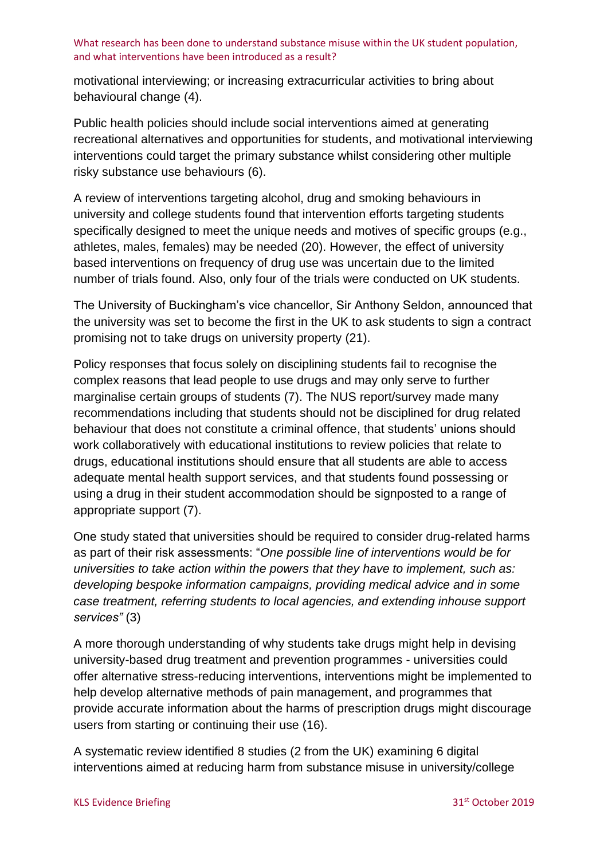motivational interviewing; or increasing extracurricular activities to bring about behavioural change [\(4\)](#page-12-3).

Public health policies should include social interventions aimed at generating recreational alternatives and opportunities for students, and motivational interviewing interventions could target the primary substance whilst considering other multiple risky substance use behaviours [\(6\)](#page-12-4).

A review of interventions targeting alcohol, drug and smoking behaviours in university and college students found that intervention efforts targeting students specifically designed to meet the unique needs and motives of specific groups (e.g., athletes, males, females) may be needed [\(20\)](#page-13-5). However, the effect of university based interventions on frequency of drug use was uncertain due to the limited number of trials found. Also, only four of the trials were conducted on UK students.

The University of Buckingham's vice chancellor, Sir Anthony Seldon, announced that the university was set to become the first in the UK to ask students to sign a contract promising not to take drugs on university property [\(21\)](#page-13-6).

Policy responses that focus solely on disciplining students fail to recognise the complex reasons that lead people to use drugs and may only serve to further marginalise certain groups of students [\(7\)](#page-12-5). The NUS report/survey made many recommendations including that students should not be disciplined for drug related behaviour that does not constitute a criminal offence, that students' unions should work collaboratively with educational institutions to review policies that relate to drugs, educational institutions should ensure that all students are able to access adequate mental health support services, and that students found possessing or using a drug in their student accommodation should be signposted to a range of appropriate support [\(7\)](#page-12-5).

One study stated that universities should be required to consider drug-related harms as part of their risk assessments: "*One possible line of interventions would be for universities to take action within the powers that they have to implement, such as: developing bespoke information campaigns, providing medical advice and in some case treatment, referring students to local agencies, and extending inhouse support services"* [\(3\)](#page-12-2)

A more thorough understanding of why students take drugs might help in devising university-based drug treatment and prevention programmes - universities could offer alternative stress-reducing interventions, interventions might be implemented to help develop alternative methods of pain management, and programmes that provide accurate information about the harms of prescription drugs might discourage users from starting or continuing their use [\(16\)](#page-13-1).

A systematic review identified 8 studies (2 from the UK) examining 6 digital interventions aimed at reducing harm from substance misuse in university/college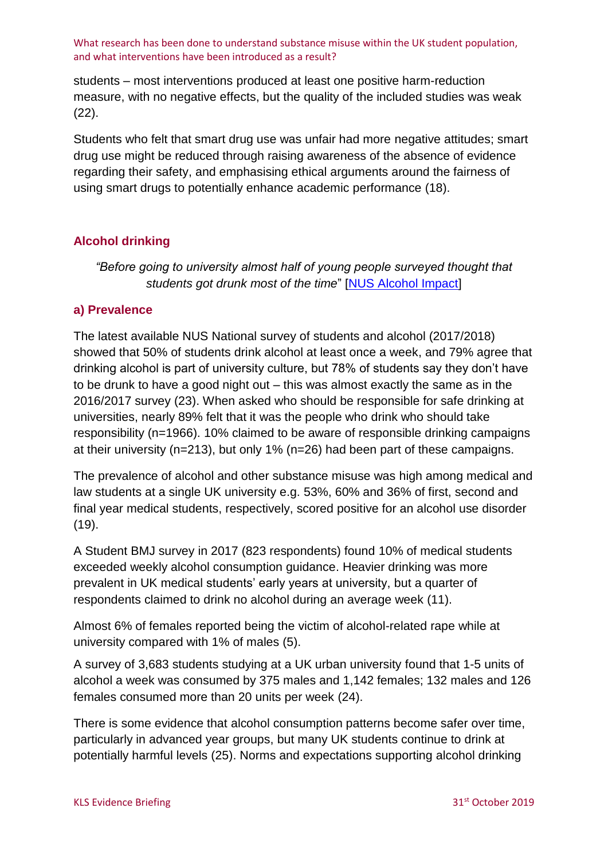students – most interventions produced at least one positive harm-reduction measure, with no negative effects, but the quality of the included studies was weak [\(22\)](#page-13-7).

Students who felt that smart drug use was unfair had more negative attitudes; smart drug use might be reduced through raising awareness of the absence of evidence regarding their safety, and emphasising ethical arguments around the fairness of using smart drugs to potentially enhance academic performance [\(18\)](#page-13-3).

# **Alcohol drinking**

*"Before going to university almost half of young people surveyed thought that students got drunk most of the time*" [\[NUS Alcohol Impact\]](https://nusdigital.s3-eu-west-1.amazonaws.com/document/documents/44084/c5afccb00e925d92b14a8454606fb210/2018731_NUS_Students_and_Alcohol_National_FINAL.PDF?AWSAccessKeyId=ASIA4ZNQXZBZFUPPJWHE&Expires=1572446947&Signature=%2BqDsIJSxCYnoI7tQUBHdiDbe5W8%3D&x-amz-security-token=AgoJb3JpZ2luX2VjELL%2F%2F%2F%2F%2F%2F%2F%2F%2F%2FwEaCWV1LXdlc3QtMSJHMEUCIEMm8gDyXBobeUEMmHszvihvH5MFdUaFAf94trTq5s7aAiEAhwcBW%2FPHZOG8fgJwk56QbjKArqeviEQXwtqHaTvPcI8qhQQIu%2F%2F%2F%2F%2F%2F%2F%2F%2F%2F%2FARAAGgw4NzkyMjgzNDAzMzgiDJNnwU2co1AlvXr77CrZA2zdTJYPwTdSNnKckH7cCHMumxg92Tm3D%2FqCsGlpfAM%2FUGEwuLzCKADa%2B5hwZQ38%2F25FC2pC0ZKCIL01VJ3uZGFXy1JOZay6BXSk2LJpU%2F0oNLdaxHNANsSomGBZ%2FRwb9eI1V2TSgD16I1XfvnwQxYJyxMPX4YNCdvtZKQDGcAKvo%2FYkREjJ9KIJPHO2EK6ComMGx1evqRg%2BEzs9bEW0%2FhFXq2DkvrgkfNFacGEeooHtYy1RbQRXu2V5rrq08prn3%2BJ9bRijbOfPGP%2FhOeJ7yDYGhxo2A3hLqEEJaFtCMZqIpl2CBVfrFT22LPbwbALLahhO12vNRg5j%2FxQUbsmCefkSH1bhy45veq70LTC4C9FG9fjpO3CarEJ%2B2Y4q8Pk8Z965uhPvQTYZer7Hh%2F3wmylHKT3kfEbTBhuoWlZuxdRijbxmHh2%2FWsRDYJroLDpDG7BLQ%2BuOnRno2HUxyPQd30UxdRXhWkoJAWQkvmjPNtZ2nPa%2FcrLScmWpooCYVdfUs0fE5N4Ro11qVpFqYRtfgFjB6vw53WKuVBpK3FxZGA%2FZJfueg3bIV0L2mD4sPVZ8iLuUY7hgdmyo3odfFtIocXeOC8TVjrsBjcfKpHxKtRv3%2F8DT%2F0RO69VrMOaw5e0FOrQBGWCtAkG0kf02X8ZDHmfHBsC5LvxV37FEhNza5SzvIoeoeeKw8ymrKrOuErgjwuKPz0VjSyMRpGSEz0dgtyi9kTt8Jkzv2dfLAjayyKLnAqO0e8gZyJElCMQM9JkXO38AxsiUAx7bp%2Bo7ShMiytOwwSCDVh1mUVOl74RuOEpYsY5yyC76oxIyyUUvoFNtrlXVOYPQONqJjcEcfAD13w0FeOi8qo4dn4rpYbIPIu5duV1RddOR)

# **a) Prevalence**

The latest available NUS National survey of students and alcohol (2017/2018) showed that 50% of students drink alcohol at least once a week, and 79% agree that drinking alcohol is part of university culture, but 78% of students say they don't have to be drunk to have a good night out – this was almost exactly the same as in the 2016/2017 survey [\(23\)](#page-13-8). When asked who should be responsible for safe drinking at universities, nearly 89% felt that it was the people who drink who should take responsibility (n=1966). 10% claimed to be aware of responsible drinking campaigns at their university (n=213), but only 1% (n=26) had been part of these campaigns.

The prevalence of alcohol and other substance misuse was high among medical and law students at a single UK university e.g. 53%, 60% and 36% of first, second and final year medical students, respectively, scored positive for an alcohol use disorder  $(19)$ .

A Student BMJ survey in 2017 (823 respondents) found 10% of medical students exceeded weekly alcohol consumption guidance. Heavier drinking was more prevalent in UK medical students' early years at university, but a quarter of respondents claimed to drink no alcohol during an average week [\(11\)](#page-12-9).

Almost 6% of females reported being the victim of alcohol-related rape while at university compared with 1% of males [\(5\)](#page-12-13).

A survey of 3,683 students studying at a UK urban university found that 1-5 units of alcohol a week was consumed by 375 males and 1,142 females; 132 males and 126 females consumed more than 20 units per week [\(24\)](#page-13-9).

There is some evidence that alcohol consumption patterns become safer over time, particularly in advanced year groups, but many UK students continue to drink at potentially harmful levels [\(25\)](#page-13-10). Norms and expectations supporting alcohol drinking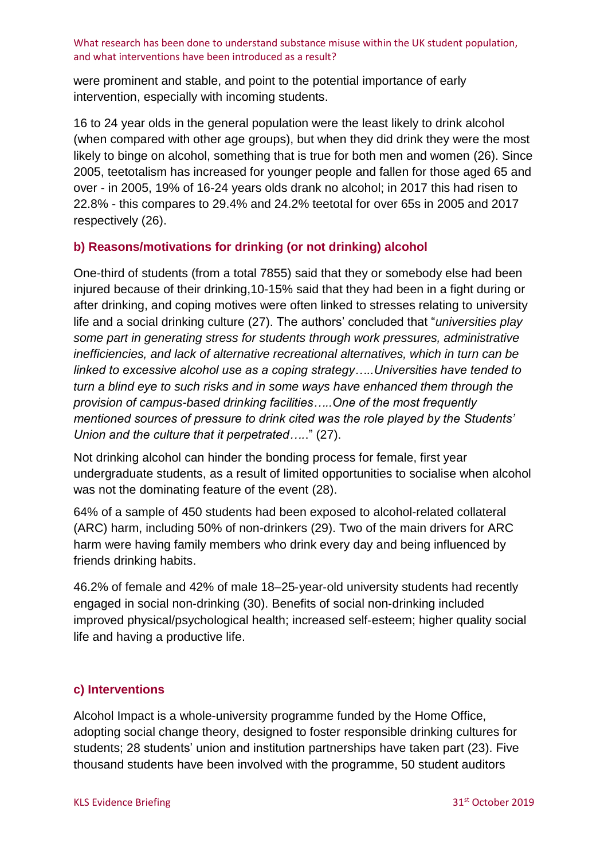were prominent and stable, and point to the potential importance of early intervention, especially with incoming students.

16 to 24 year olds in the general population were the least likely to drink alcohol (when compared with other age groups), but when they did drink they were the most likely to binge on alcohol, something that is true for both men and women [\(26\)](#page-13-11). Since 2005, teetotalism has increased for younger people and fallen for those aged 65 and over - in 2005, 19% of 16-24 years olds drank no alcohol; in 2017 this had risen to 22.8% - this compares to 29.4% and 24.2% teetotal for over 65s in 2005 and 2017 respectively [\(26\)](#page-13-11).

# **b) Reasons/motivations for drinking (or not drinking) alcohol**

One-third of students (from a total 7855) said that they or somebody else had been injured because of their drinking,10-15% said that they had been in a fight during or after drinking, and coping motives were often linked to stresses relating to university life and a social drinking culture [\(27\)](#page-13-12). The authors' concluded that "*universities play some part in generating stress for students through work pressures, administrative inefficiencies, and lack of alternative recreational alternatives, which in turn can be linked to excessive alcohol use as a coping strategy…..Universities have tended to turn a blind eye to such risks and in some ways have enhanced them through the provision of campus-based drinking facilities…..One of the most frequently mentioned sources of pressure to drink cited was the role played by the Students' Union and the culture that it perpetrated….*." [\(27\)](#page-13-12).

Not drinking alcohol can hinder the bonding process for female, first year undergraduate students, as a result of limited opportunities to socialise when alcohol was not the dominating feature of the event [\(28\)](#page-13-13).

64% of a sample of 450 students had been exposed to alcohol-related collateral (ARC) harm, including 50% of non-drinkers [\(29\)](#page-13-14). Two of the main drivers for ARC harm were having family members who drink every day and being influenced by friends drinking habits.

46.2% of female and 42% of male 18–25‐year‐old university students had recently engaged in social non‐drinking [\(30\)](#page-14-0). Benefits of social non‐drinking included improved physical/psychological health; increased self‐esteem; higher quality social life and having a productive life.

# **c) Interventions**

Alcohol Impact is a whole-university programme funded by the Home Office, adopting social change theory, designed to foster responsible drinking cultures for students; 28 students' union and institution partnerships have taken part [\(23\)](#page-13-8). Five thousand students have been involved with the programme, 50 student auditors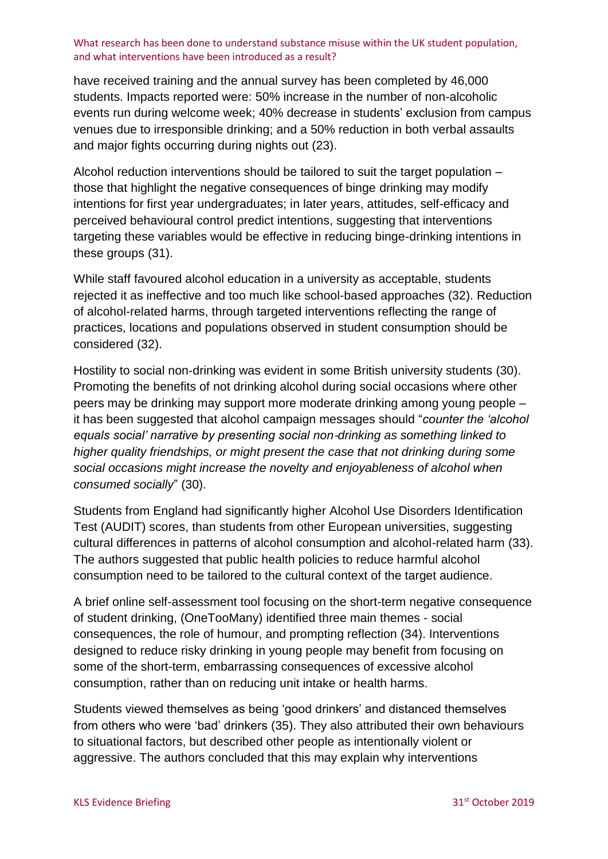have received training and the annual survey has been completed by 46,000 students. Impacts reported were: 50% increase in the number of non-alcoholic events run during welcome week; 40% decrease in students' exclusion from campus venues due to irresponsible drinking; and a 50% reduction in both verbal assaults and major fights occurring during nights out [\(23\)](#page-13-8).

Alcohol reduction interventions should be tailored to suit the target population – those that highlight the negative consequences of binge drinking may modify intentions for first year undergraduates; in later years, attitudes, self-efficacy and perceived behavioural control predict intentions, suggesting that interventions targeting these variables would be effective in reducing binge-drinking intentions in these groups [\(31\)](#page-14-1).

While staff favoured alcohol education in a university as acceptable, students rejected it as ineffective and too much like school-based approaches [\(32\)](#page-14-2). Reduction of alcohol-related harms, through targeted interventions reflecting the range of practices, locations and populations observed in student consumption should be considered [\(32\)](#page-14-2).

Hostility to social non-drinking was evident in some British university students [\(30\)](#page-14-0). Promoting the benefits of not drinking alcohol during social occasions where other peers may be drinking may support more moderate drinking among young people – it has been suggested that alcohol campaign messages should "*counter the 'alcohol equals social' narrative by presenting social non*‐*drinking as something linked to higher quality friendships, or might present the case that not drinking during some social occasions might increase the novelty and enjoyableness of alcohol when consumed socially*" [\(30\)](#page-14-0).

Students from England had significantly higher Alcohol Use Disorders Identification Test (AUDIT) scores, than students from other European universities, suggesting cultural differences in patterns of alcohol consumption and alcohol-related harm [\(33\)](#page-14-3). The authors suggested that public health policies to reduce harmful alcohol consumption need to be tailored to the cultural context of the target audience.

A brief online self-assessment tool focusing on the short-term negative consequence of student drinking, (OneTooMany) identified three main themes - social consequences, the role of humour, and prompting reflection [\(34\)](#page-14-4). Interventions designed to reduce risky drinking in young people may benefit from focusing on some of the short-term, embarrassing consequences of excessive alcohol consumption, rather than on reducing unit intake or health harms.

Students viewed themselves as being 'good drinkers' and distanced themselves from others who were 'bad' drinkers [\(35\)](#page-14-5). They also attributed their own behaviours to situational factors, but described other people as intentionally violent or aggressive. The authors concluded that this may explain why interventions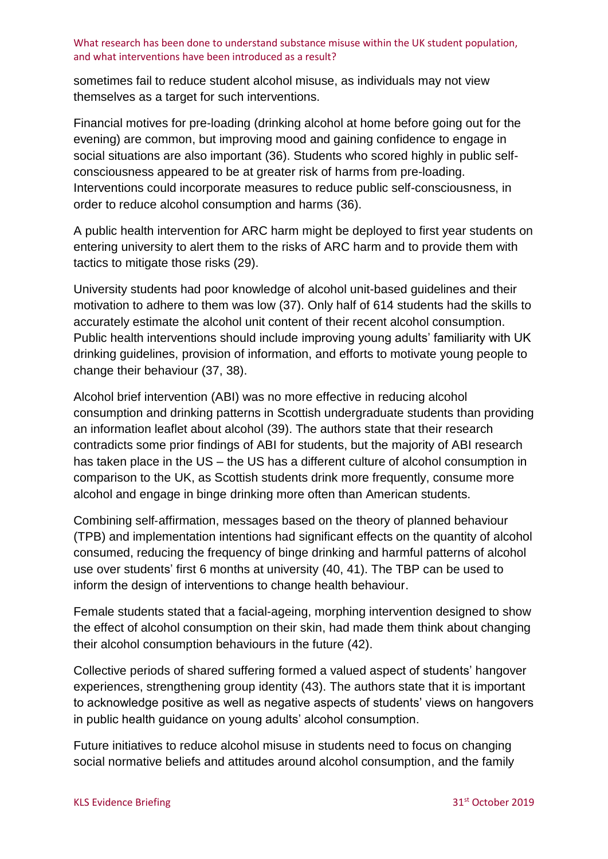sometimes fail to reduce student alcohol misuse, as individuals may not view themselves as a target for such interventions.

Financial motives for pre-loading (drinking alcohol at home before going out for the evening) are common, but improving mood and gaining confidence to engage in social situations are also important [\(36\)](#page-14-6). Students who scored highly in public selfconsciousness appeared to be at greater risk of harms from pre-loading. Interventions could incorporate measures to reduce public self-consciousness, in order to reduce alcohol consumption and harms [\(36\)](#page-14-6).

A public health intervention for ARC harm might be deployed to first year students on entering university to alert them to the risks of ARC harm and to provide them with tactics to mitigate those risks [\(29\)](#page-13-14).

University students had poor knowledge of alcohol unit-based guidelines and their motivation to adhere to them was low [\(37\)](#page-14-7). Only half of 614 students had the skills to accurately estimate the alcohol unit content of their recent alcohol consumption. Public health interventions should include improving young adults' familiarity with UK drinking guidelines, provision of information, and efforts to motivate young people to change their behaviour [\(37,](#page-14-7) [38\)](#page-14-8).

Alcohol brief intervention (ABI) was no more effective in reducing alcohol consumption and drinking patterns in Scottish undergraduate students than providing an information leaflet about alcohol [\(39\)](#page-14-9). The authors state that their research contradicts some prior findings of ABI for students, but the majority of ABI research has taken place in the US – the US has a different culture of alcohol consumption in comparison to the UK, as Scottish students drink more frequently, consume more alcohol and engage in binge drinking more often than American students.

Combining self‐affirmation, messages based on the theory of planned behaviour (TPB) and implementation intentions had significant effects on the quantity of alcohol consumed, reducing the frequency of binge drinking and harmful patterns of alcohol use over students' first 6 months at university [\(40,](#page-14-10) [41\)](#page-14-11). The TBP can be used to inform the design of interventions to change health behaviour.

Female students stated that a facial-ageing, morphing intervention designed to show the effect of alcohol consumption on their skin, had made them think about changing their alcohol consumption behaviours in the future [\(42\)](#page-14-12).

Collective periods of shared suffering formed a valued aspect of students' hangover experiences, strengthening group identity [\(43\)](#page-14-13). The authors state that it is important to acknowledge positive as well as negative aspects of students' views on hangovers in public health guidance on young adults' alcohol consumption.

Future initiatives to reduce alcohol misuse in students need to focus on changing social normative beliefs and attitudes around alcohol consumption, and the family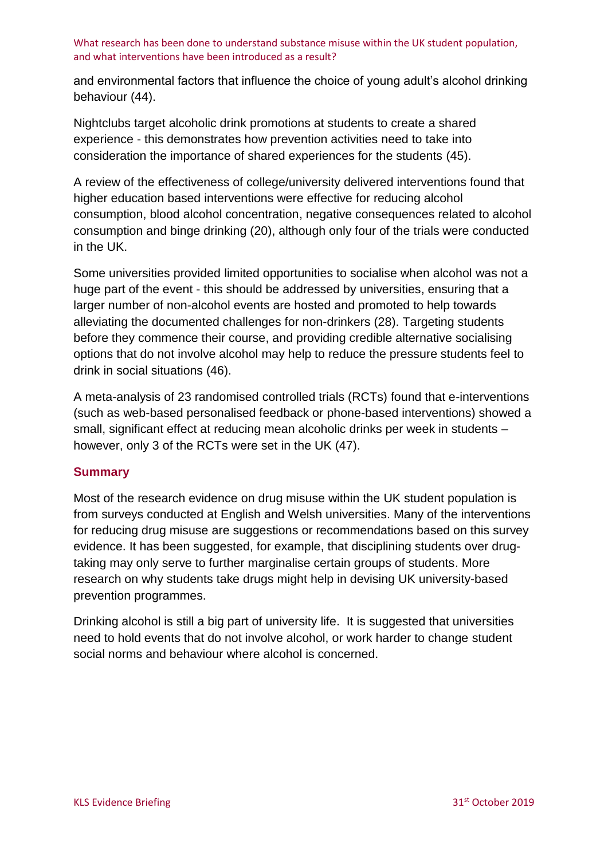and environmental factors that influence the choice of young adult's alcohol drinking behaviour [\(44\)](#page-15-0).

Nightclubs target alcoholic drink promotions at students to create a shared experience - this demonstrates how prevention activities need to take into consideration the importance of shared experiences for the students [\(45\)](#page-15-1).

A review of the effectiveness of college/university delivered interventions found that higher education based interventions were effective for reducing alcohol consumption, blood alcohol concentration, negative consequences related to alcohol consumption and binge drinking [\(20\)](#page-13-5), although only four of the trials were conducted in the UK.

Some universities provided limited opportunities to socialise when alcohol was not a huge part of the event - this should be addressed by universities, ensuring that a larger number of non-alcohol events are hosted and promoted to help towards alleviating the documented challenges for non-drinkers [\(28\)](#page-13-13). Targeting students before they commence their course, and providing credible alternative socialising options that do not involve alcohol may help to reduce the pressure students feel to drink in social situations [\(46\)](#page-15-2).

A meta-analysis of 23 randomised controlled trials (RCTs) found that e-interventions (such as web-based personalised feedback or phone-based interventions) showed a small, significant effect at reducing mean alcoholic drinks per week in students – however, only 3 of the RCTs were set in the UK [\(47\)](#page-15-3).

# **Summary**

Most of the research evidence on drug misuse within the UK student population is from surveys conducted at English and Welsh universities. Many of the interventions for reducing drug misuse are suggestions or recommendations based on this survey evidence. It has been suggested, for example, that disciplining students over drugtaking may only serve to further marginalise certain groups of students. More research on why students take drugs might help in devising UK university-based prevention programmes.

Drinking alcohol is still a big part of university life. It is suggested that universities need to hold events that do not involve alcohol, or work harder to change student social norms and behaviour where alcohol is concerned.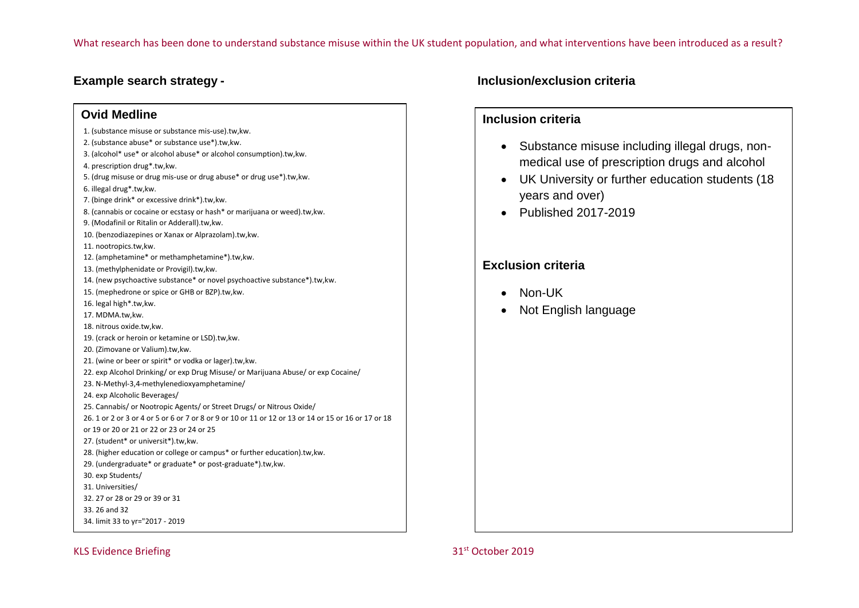#### **Ovid Medline**

- 1. (substance misuse or substance mis-use).tw,kw.
- 2. (substance abuse\* or substance use\*).tw,kw.
- 3. (alcohol\* use\* or alcohol abuse\* or alcohol consumption).tw,kw.
- 4. prescription drug\*.tw,kw.
- 5. (drug misuse or drug mis-use or drug abuse\* or drug use\*).tw,kw.
- 6. illegal drug\*.tw,kw.
- 7. (binge drink\* or excessive drink\*).tw,kw.
- 8. (cannabis or cocaine or ecstasy or hash\* or marijuana or weed).tw,kw.
- 9. (Modafinil or Ritalin or Adderall).tw,kw.
- 10. (benzodiazepines or Xanax or Alprazolam).tw,kw.
- 11. nootropics.tw,kw.
- 12. (amphetamine\* or methamphetamine\*).tw,kw.
- 13. (methylphenidate or Provigil).tw,kw.
- 14. (new psychoactive substance\* or novel psychoactive substance\*).tw,kw.
- 15. (mephedrone or spice or GHB or BZP).tw,kw.
- 16. legal high\*.tw,kw.
- 17. MDMA.tw,kw.
- 18. nitrous oxide.tw,kw.
- 19. (crack or heroin or ketamine or LSD).tw,kw.
- 20. (Zimovane or Valium).tw,kw.
- 21. (wine or beer or spirit\* or vodka or lager).tw,kw.
- 22. exp Alcohol Drinking/ or exp Drug Misuse/ or Marijuana Abuse/ or exp Cocaine/
- 23. N-Methyl-3,4-methylenedioxyamphetamine/
- 24. exp Alcoholic Beverages/
- 25. Cannabis/ or Nootropic Agents/ or Street Drugs/ or Nitrous Oxide/
- 26. 1 or 2 or 3 or 4 or 5 or 6 or 7 or 8 or 9 or 10 or 11 or 12 or 13 or 14 or 15 or 16 or 17 or 18
- or 19 or 20 or 21 or 22 or 23 or 24 or 25
- 27. (student\* or universit\*).tw,kw.
- 28. (higher education or college or campus\* or further education).tw,kw.
- 29. (undergraduate\* or graduate\* or post-graduate\*).tw,kw.
- 30. exp Students/
- 31. Universities/
- 32. 27 or 28 or 29 or 39 or 31
- 33. 26 and 32
- 34. limit 33 to yr="2017 2019

#### KLS Evidence Briefing **31st October 2019** 31st October 2019

# **Example search strategy - Inclusion/exclusion criteria**

# **Inclusion criteria**

- Substance misuse including illegal drugs, nonmedical use of prescription drugs and alcohol
- UK University or further education students (18 years and over)
- Published 2017-2019

# **Exclusion criteria**

- Non-UK
- Not English language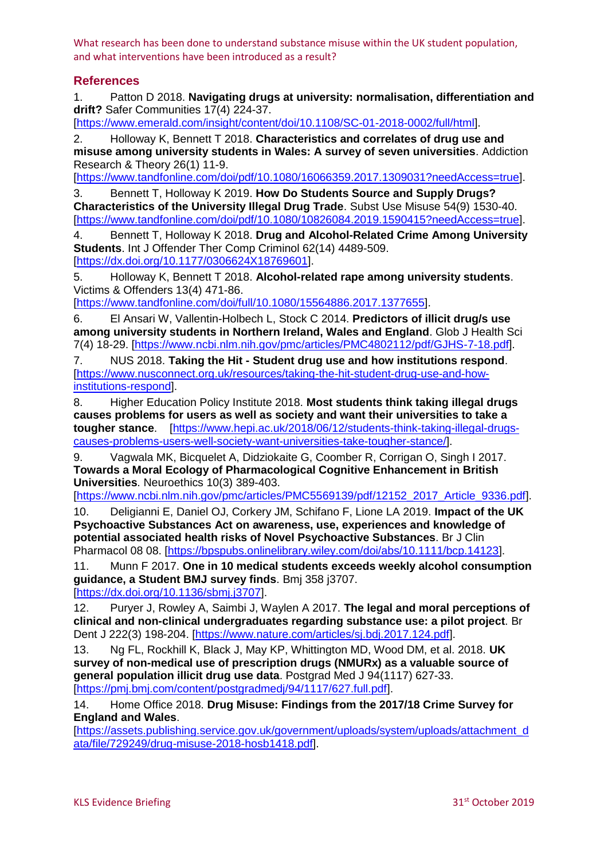# **References**

<span id="page-12-0"></span>1. Patton D 2018. **Navigating drugs at university: normalisation, differentiation and**  drift? Safer Communities 17(4) 224-37.

[\[https://www.emerald.com/insight/content/doi/10.1108/SC-01-2018-0002/full/html\]](https://www.emerald.com/insight/content/doi/10.1108/SC-01-2018-0002/full/html).

<span id="page-12-1"></span>2. Holloway K, Bennett T 2018. **Characteristics and correlates of drug use and misuse among university students in Wales: A survey of seven universities**. Addiction Research & Theory 26(1) 11-9.

[\[https://www.tandfonline.com/doi/pdf/10.1080/16066359.2017.1309031?needAccess=true\]](https://www.tandfonline.com/doi/pdf/10.1080/16066359.2017.1309031?needAccess=true).

<span id="page-12-2"></span>3. Bennett T, Holloway K 2019. **How Do Students Source and Supply Drugs? Characteristics of the University Illegal Drug Trade**. Subst Use Misuse 54(9) 1530-40. [\[https://www.tandfonline.com/doi/pdf/10.1080/10826084.2019.1590415?needAccess=true\]](https://www.tandfonline.com/doi/pdf/10.1080/10826084.2019.1590415?needAccess=true).

<span id="page-12-3"></span>4. Bennett T, Holloway K 2018. **Drug and Alcohol-Related Crime Among University Students**. Int J Offender Ther Comp Criminol 62(14) 4489-509. [\[https://dx.doi.org/10.1177/0306624X18769601\]](https://dx.doi.org/10.1177/0306624X18769601).

<span id="page-12-13"></span>5. Holloway K, Bennett T 2018. **Alcohol-related rape among university students**. Victims & Offenders 13(4) 471-86.

[\[https://www.tandfonline.com/doi/full/10.1080/15564886.2017.1377655\]](https://www.tandfonline.com/doi/full/10.1080/15564886.2017.1377655).

<span id="page-12-4"></span>6. El Ansari W, Vallentin-Holbech L, Stock C 2014. **Predictors of illicit drug/s use among university students in Northern Ireland, Wales and England**. Glob J Health Sci 7(4) 18-29. [\[https://www.ncbi.nlm.nih.gov/pmc/articles/PMC4802112/pdf/GJHS-7-18.pdf\]](https://www.ncbi.nlm.nih.gov/pmc/articles/PMC4802112/pdf/GJHS-7-18.pdf).

<span id="page-12-5"></span>7. NUS 2018. **Taking the Hit - Student drug use and how institutions respond**. [\[https://www.nusconnect.org.uk/resources/taking-the-hit-student-drug-use-and-how](https://www.nusconnect.org.uk/resources/taking-the-hit-student-drug-use-and-how-institutions-respond)[institutions-respond\]](https://www.nusconnect.org.uk/resources/taking-the-hit-student-drug-use-and-how-institutions-respond).

<span id="page-12-6"></span>8. Higher Education Policy Institute 2018. **Most students think taking illegal drugs causes problems for users as well as society and want their universities to take a tougher stance**. [\[https://www.hepi.ac.uk/2018/06/12/students-think-taking-illegal-drugs](https://www.hepi.ac.uk/2018/06/12/students-think-taking-illegal-drugs-causes-problems-users-well-society-want-universities-take-tougher-stance/)[causes-problems-users-well-society-want-universities-take-tougher-stance/\]](https://www.hepi.ac.uk/2018/06/12/students-think-taking-illegal-drugs-causes-problems-users-well-society-want-universities-take-tougher-stance/).

<span id="page-12-7"></span>9. Vagwala MK, Bicquelet A, Didziokaite G, Coomber R, Corrigan O, Singh I 2017. **Towards a Moral Ecology of Pharmacological Cognitive Enhancement in British Universities**. Neuroethics 10(3) 389-403.

[\[https://www.ncbi.nlm.nih.gov/pmc/articles/PMC5569139/pdf/12152\\_2017\\_Article\\_9336.pdf\]](https://www.ncbi.nlm.nih.gov/pmc/articles/PMC5569139/pdf/12152_2017_Article_9336.pdf).

<span id="page-12-8"></span>10. Deligianni E, Daniel OJ, Corkery JM, Schifano F, Lione LA 2019. **Impact of the UK Psychoactive Substances Act on awareness, use, experiences and knowledge of potential associated health risks of Novel Psychoactive Substances**. Br J Clin Pharmacol 08 08. [\[https://bpspubs.onlinelibrary.wiley.com/doi/abs/10.1111/bcp.14123\]](https://bpspubs.onlinelibrary.wiley.com/doi/abs/10.1111/bcp.14123).

<span id="page-12-9"></span>11. Munn F 2017. **One in 10 medical students exceeds weekly alcohol consumption guidance, a Student BMJ survey finds**. Bmj 358 j3707.

[\[https://dx.doi.org/10.1136/sbmj.j3707\]](https://dx.doi.org/10.1136/sbmj.j3707).

<span id="page-12-10"></span>12. Puryer J, Rowley A, Saimbi J, Waylen A 2017. **The legal and moral perceptions of clinical and non-clinical undergraduates regarding substance use: a pilot project**. Br Dent J 222(3) 198-204. [\[https://www.nature.com/articles/sj.bdj.2017.124.pdf\]](https://www.nature.com/articles/sj.bdj.2017.124.pdf).

<span id="page-12-11"></span>13. Ng FL, Rockhill K, Black J, May KP, Whittington MD, Wood DM, et al. 2018. **UK survey of non-medical use of prescription drugs (NMURx) as a valuable source of general population illicit drug use data**. Postgrad Med J 94(1117) 627-33. [\[https://pmj.bmj.com/content/postgradmedj/94/1117/627.full.pdf\]](https://pmj.bmj.com/content/postgradmedj/94/1117/627.full.pdf).

<span id="page-12-12"></span>14. Home Office 2018. **Drug Misuse: Findings from the 2017/18 Crime Survey for England and Wales**.

[\[https://assets.publishing.service.gov.uk/government/uploads/system/uploads/attachment\\_d](https://assets.publishing.service.gov.uk/government/uploads/system/uploads/attachment_data/file/729249/drug-misuse-2018-hosb1418.pdf) [ata/file/729249/drug-misuse-2018-hosb1418.pdf\]](https://assets.publishing.service.gov.uk/government/uploads/system/uploads/attachment_data/file/729249/drug-misuse-2018-hosb1418.pdf).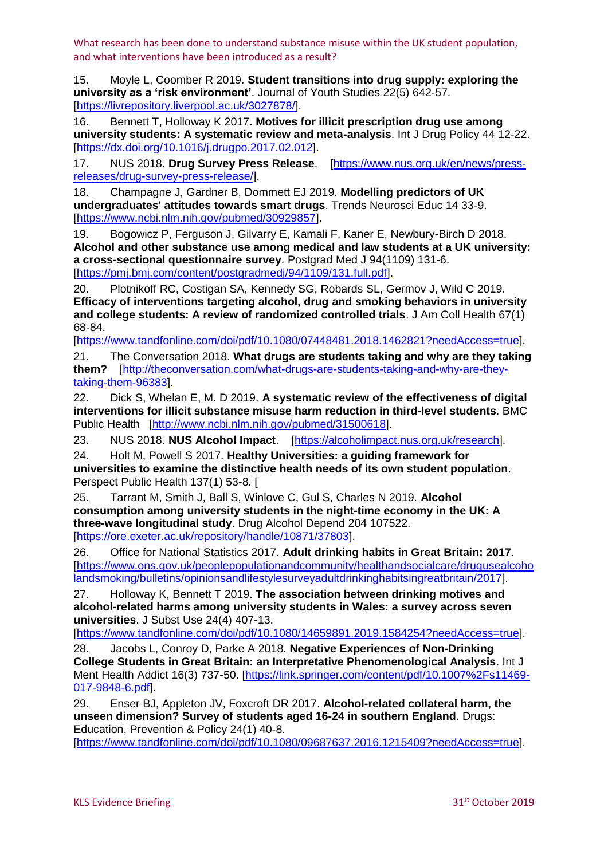<span id="page-13-0"></span>15. Moyle L, Coomber R 2019. **Student transitions into drug supply: exploring the university as a 'risk environment'**. Journal of Youth Studies 22(5) 642-57. [\[https://livrepository.liverpool.ac.uk/3027878/\]](https://livrepository.liverpool.ac.uk/3027878/).

<span id="page-13-1"></span>16. Bennett T, Holloway K 2017. **Motives for illicit prescription drug use among university students: A systematic review and meta-analysis**. Int J Drug Policy 44 12-22. [\[https://dx.doi.org/10.1016/j.drugpo.2017.02.012\]](https://dx.doi.org/10.1016/j.drugpo.2017.02.012).

<span id="page-13-2"></span>17. NUS 2018. **Drug Survey Press Release**. [\[https://www.nus.org.uk/en/news/press](https://www.nus.org.uk/en/news/press-releases/drug-survey-press-release/)[releases/drug-survey-press-release/\]](https://www.nus.org.uk/en/news/press-releases/drug-survey-press-release/).

<span id="page-13-3"></span>18. Champagne J, Gardner B, Dommett EJ 2019. **Modelling predictors of UK undergraduates' attitudes towards smart drugs**. Trends Neurosci Educ 14 33-9. [\[https://www.ncbi.nlm.nih.gov/pubmed/30929857\]](https://www.ncbi.nlm.nih.gov/pubmed/30929857).

<span id="page-13-4"></span>19. Bogowicz P, Ferguson J, Gilvarry E, Kamali F, Kaner E, Newbury-Birch D 2018. **Alcohol and other substance use among medical and law students at a UK university: a cross-sectional questionnaire survey**. Postgrad Med J 94(1109) 131-6. [\[https://pmj.bmj.com/content/postgradmedj/94/1109/131.full.pdf\]](https://pmj.bmj.com/content/postgradmedj/94/1109/131.full.pdf).

<span id="page-13-5"></span>20. Plotnikoff RC, Costigan SA, Kennedy SG, Robards SL, Germov J, Wild C 2019. **Efficacy of interventions targeting alcohol, drug and smoking behaviors in university and college students: A review of randomized controlled trials**. J Am Coll Health 67(1) 68-84.

[\[https://www.tandfonline.com/doi/pdf/10.1080/07448481.2018.1462821?needAccess=true\]](https://www.tandfonline.com/doi/pdf/10.1080/07448481.2018.1462821?needAccess=true).

<span id="page-13-6"></span>21. The Conversation 2018. **What drugs are students taking and why are they taking them?** [\[http://theconversation.com/what-drugs-are-students-taking-and-why-are-they](http://theconversation.com/what-drugs-are-students-taking-and-why-are-they-taking-them-96383)[taking-them-96383\]](http://theconversation.com/what-drugs-are-students-taking-and-why-are-they-taking-them-96383).

<span id="page-13-7"></span>22. Dick S, Whelan E, M. D 2019. **A systematic review of the effectiveness of digital interventions for illicit substance misuse harm reduction in third-level students**. BMC Public Health [\[http://www.ncbi.nlm.nih.gov/pubmed/31500618\]](http://www.ncbi.nlm.nih.gov/pubmed/31500618).

<span id="page-13-8"></span>23. NUS 2018. **NUS Alcohol Impact**. [\[https://alcoholimpact.nus.org.uk/research\]](https://alcoholimpact.nus.org.uk/research).

<span id="page-13-9"></span>24. Holt M, Powell S 2017. **Healthy Universities: a guiding framework for universities to examine the distinctive health needs of its own student population**. Perspect Public Health 137(1) 53-8. [

<span id="page-13-10"></span>25. Tarrant M, Smith J, Ball S, Winlove C, Gul S, Charles N 2019. **Alcohol consumption among university students in the night-time economy in the UK: A three-wave longitudinal study**. Drug Alcohol Depend 204 107522. [\[https://ore.exeter.ac.uk/repository/handle/10871/37803\]](https://ore.exeter.ac.uk/repository/handle/10871/37803).

<span id="page-13-11"></span>26. Office for National Statistics 2017. **Adult drinking habits in Great Britain: 2017**. [\[https://www.ons.gov.uk/peoplepopulationandcommunity/healthandsocialcare/drugusealcoho](https://www.ons.gov.uk/peoplepopulationandcommunity/healthandsocialcare/drugusealcoholandsmoking/bulletins/opinionsandlifestylesurveyadultdrinkinghabitsingreatbritain/2017) [landsmoking/bulletins/opinionsandlifestylesurveyadultdrinkinghabitsingreatbritain/2017\]](https://www.ons.gov.uk/peoplepopulationandcommunity/healthandsocialcare/drugusealcoholandsmoking/bulletins/opinionsandlifestylesurveyadultdrinkinghabitsingreatbritain/2017).

<span id="page-13-12"></span>27. Holloway K, Bennett T 2019. **The association between drinking motives and alcohol-related harms among university students in Wales: a survey across seven universities**. J Subst Use 24(4) 407-13.

[\[https://www.tandfonline.com/doi/pdf/10.1080/14659891.2019.1584254?needAccess=true\]](https://www.tandfonline.com/doi/pdf/10.1080/14659891.2019.1584254?needAccess=true).

<span id="page-13-13"></span>28. Jacobs L, Conroy D, Parke A 2018. **Negative Experiences of Non-Drinking College Students in Great Britain: an Interpretative Phenomenological Analysis**. Int J Ment Health Addict 16(3) 737-50. [\[https://link.springer.com/content/pdf/10.1007%2Fs11469-](https://link.springer.com/content/pdf/10.1007%2Fs11469-017-9848-6.pdf) [017-9848-6.pdf\]](https://link.springer.com/content/pdf/10.1007%2Fs11469-017-9848-6.pdf).

<span id="page-13-14"></span>29. Enser BJ, Appleton JV, Foxcroft DR 2017. **Alcohol-related collateral harm, the unseen dimension? Survey of students aged 16-24 in southern England**. Drugs: Education, Prevention & Policy 24(1) 40-8.

[\[https://www.tandfonline.com/doi/pdf/10.1080/09687637.2016.1215409?needAccess=true\]](https://www.tandfonline.com/doi/pdf/10.1080/09687637.2016.1215409?needAccess=true).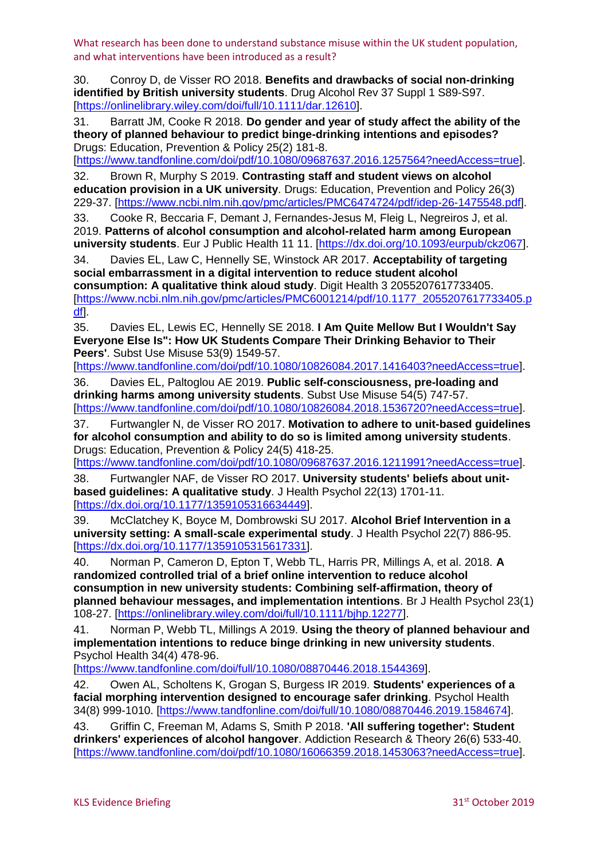<span id="page-14-0"></span>30. Conroy D, de Visser RO 2018. **Benefits and drawbacks of social non-drinking identified by British university students**. Drug Alcohol Rev 37 Suppl 1 S89-S97. [\[https://onlinelibrary.wiley.com/doi/full/10.1111/dar.12610\]](https://onlinelibrary.wiley.com/doi/full/10.1111/dar.12610).

<span id="page-14-1"></span>31. Barratt JM, Cooke R 2018. **Do gender and year of study affect the ability of the theory of planned behaviour to predict binge-drinking intentions and episodes?** Drugs: Education, Prevention & Policy 25(2) 181-8.

[\[https://www.tandfonline.com/doi/pdf/10.1080/09687637.2016.1257564?needAccess=true\]](https://www.tandfonline.com/doi/pdf/10.1080/09687637.2016.1257564?needAccess=true).

<span id="page-14-2"></span>32. Brown R, Murphy S 2019. **Contrasting staff and student views on alcohol education provision in a UK university**. Drugs: Education, Prevention and Policy 26(3) 229-37. [\[https://www.ncbi.nlm.nih.gov/pmc/articles/PMC6474724/pdf/idep-26-1475548.pdf\]](https://www.ncbi.nlm.nih.gov/pmc/articles/PMC6474724/pdf/idep-26-1475548.pdf).

<span id="page-14-3"></span>33. Cooke R, Beccaria F, Demant J, Fernandes-Jesus M, Fleig L, Negreiros J, et al. 2019. **Patterns of alcohol consumption and alcohol-related harm among European university students**. Eur J Public Health 11 11. [\[https://dx.doi.org/10.1093/eurpub/ckz067\]](https://dx.doi.org/10.1093/eurpub/ckz067).

<span id="page-14-4"></span>34. Davies EL, Law C, Hennelly SE, Winstock AR 2017. **Acceptability of targeting social embarrassment in a digital intervention to reduce student alcohol consumption: A qualitative think aloud study**. Digit Health 3 2055207617733405. [\[https://www.ncbi.nlm.nih.gov/pmc/articles/PMC6001214/pdf/10.1177\\_2055207617733405.p](https://www.ncbi.nlm.nih.gov/pmc/articles/PMC6001214/pdf/10.1177_2055207617733405.pdf) [df\]](https://www.ncbi.nlm.nih.gov/pmc/articles/PMC6001214/pdf/10.1177_2055207617733405.pdf).

<span id="page-14-5"></span>35. Davies EL, Lewis EC, Hennelly SE 2018. **I Am Quite Mellow But I Wouldn't Say Everyone Else Is": How UK Students Compare Their Drinking Behavior to Their Peers'**. Subst Use Misuse 53(9) 1549-57.

[\[https://www.tandfonline.com/doi/pdf/10.1080/10826084.2017.1416403?needAccess=true\]](https://www.tandfonline.com/doi/pdf/10.1080/10826084.2017.1416403?needAccess=true).

<span id="page-14-6"></span>36. Davies EL, Paltoglou AE 2019. **Public self-consciousness, pre-loading and drinking harms among university students**. Subst Use Misuse 54(5) 747-57. [\[https://www.tandfonline.com/doi/pdf/10.1080/10826084.2018.1536720?needAccess=true\]](https://www.tandfonline.com/doi/pdf/10.1080/10826084.2018.1536720?needAccess=true).

<span id="page-14-7"></span>37. Furtwangler N, de Visser RO 2017. **Motivation to adhere to unit-based guidelines for alcohol consumption and ability to do so is limited among university students**. Drugs: Education, Prevention & Policy 24(5) 418-25.

[\[https://www.tandfonline.com/doi/pdf/10.1080/09687637.2016.1211991?needAccess=true\]](https://www.tandfonline.com/doi/pdf/10.1080/09687637.2016.1211991?needAccess=true).

<span id="page-14-8"></span>38. Furtwangler NAF, de Visser RO 2017. **University students' beliefs about unitbased guidelines: A qualitative study**. J Health Psychol 22(13) 1701-11. [\[https://dx.doi.org/10.1177/1359105316634449\]](https://dx.doi.org/10.1177/1359105316634449).

<span id="page-14-9"></span>39. McClatchey K, Boyce M, Dombrowski SU 2017. **Alcohol Brief Intervention in a university setting: A small-scale experimental study**. J Health Psychol 22(7) 886-95. [\[https://dx.doi.org/10.1177/1359105315617331\]](https://dx.doi.org/10.1177/1359105315617331).

<span id="page-14-10"></span>40. Norman P, Cameron D, Epton T, Webb TL, Harris PR, Millings A, et al. 2018. **A randomized controlled trial of a brief online intervention to reduce alcohol consumption in new university students: Combining self-affirmation, theory of planned behaviour messages, and implementation intentions**. Br J Health Psychol 23(1) 108-27. [\[https://onlinelibrary.wiley.com/doi/full/10.1111/bjhp.12277\]](https://onlinelibrary.wiley.com/doi/full/10.1111/bjhp.12277).

<span id="page-14-11"></span>41. Norman P, Webb TL, Millings A 2019. **Using the theory of planned behaviour and implementation intentions to reduce binge drinking in new university students**. Psychol Health 34(4) 478-96.

[\[https://www.tandfonline.com/doi/full/10.1080/08870446.2018.1544369\]](https://www.tandfonline.com/doi/full/10.1080/08870446.2018.1544369).

<span id="page-14-12"></span>42. Owen AL, Scholtens K, Grogan S, Burgess IR 2019. **Students' experiences of a facial morphing intervention designed to encourage safer drinking**. Psychol Health 34(8) 999-1010. [\[https://www.tandfonline.com/doi/full/10.1080/08870446.2019.1584674\]](https://www.tandfonline.com/doi/full/10.1080/08870446.2019.1584674).

<span id="page-14-13"></span>43. Griffin C, Freeman M, Adams S, Smith P 2018. **'All suffering together': Student drinkers' experiences of alcohol hangover**. Addiction Research & Theory 26(6) 533-40. [\[https://www.tandfonline.com/doi/pdf/10.1080/16066359.2018.1453063?needAccess=true\]](https://www.tandfonline.com/doi/pdf/10.1080/16066359.2018.1453063?needAccess=true).